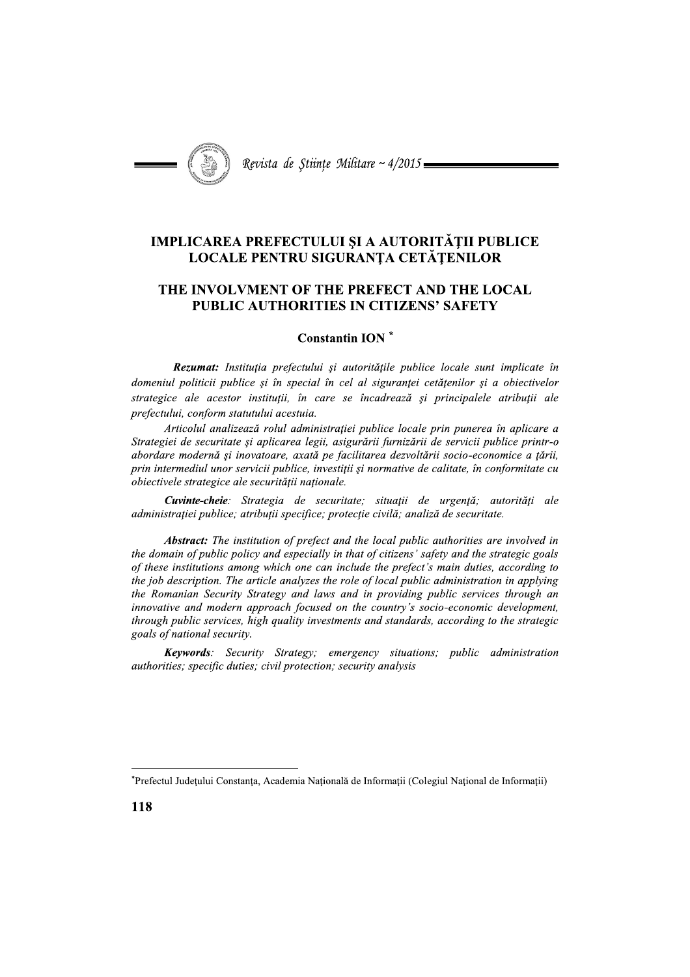

## **IMPLICAREA PREFECTULUI ȘI A AUTORITĂȚII PUBLICE** LOCALE PENTRU SIGURANȚA CETĂȚENILOR

## THE INVOLVMENT OF THE PREFECT AND THE LOCAL **PUBLIC AUTHORITIES IN CITIZENS' SAFETY**

## **Constantin ION**\*

Rezumat: Instituția prefectului și autoritățile publice locale sunt implicate în domeniul politicii publice și în special în cel al siguranței cetățenilor și a obiectivelor strategice ale acestor instituții, în care se încadrează și principalele atribuții ale prefectului, conform statutului acestuia.

Articolul analizează rolul administrației publice locale prin punerea în aplicare a Strategiei de securitate și aplicarea legii, asigurării furnizării de servicii publice printr-o abordare modernă și inovatoare, axată pe facilitarea dezvoltării socio-economice a țării, prin intermediul unor servicii publice, investiții și normative de calitate, în conformitate cu obiectivele strategice ale securității naționale.

Cuvinte-cheie: Strategia de securitate; situații de urgență; autorități ale administrației publice; atribuții specifice; protecție civilă; analiză de securitate.

**Abstract:** The institution of prefect and the local public authorities are involved in the domain of public policy and especially in that of citizens' safety and the strategic goals of these institutions among which one can include the prefect's main duties, according to the job description. The article analyzes the role of local public administration in applying the Romanian Security Strategy and laws and in providing public services through an innovative and modern approach focused on the country's socio-economic development, through public services, high quality investments and standards, according to the strategic goals of national security.

Keywords: Security Strategy; emergency situations; public administration authorities; specific duties; civil protection; security analysis

<sup>\*</sup>Prefectul Județului Constanța, Academia Națională de Informații (Colegiul Național de Informații)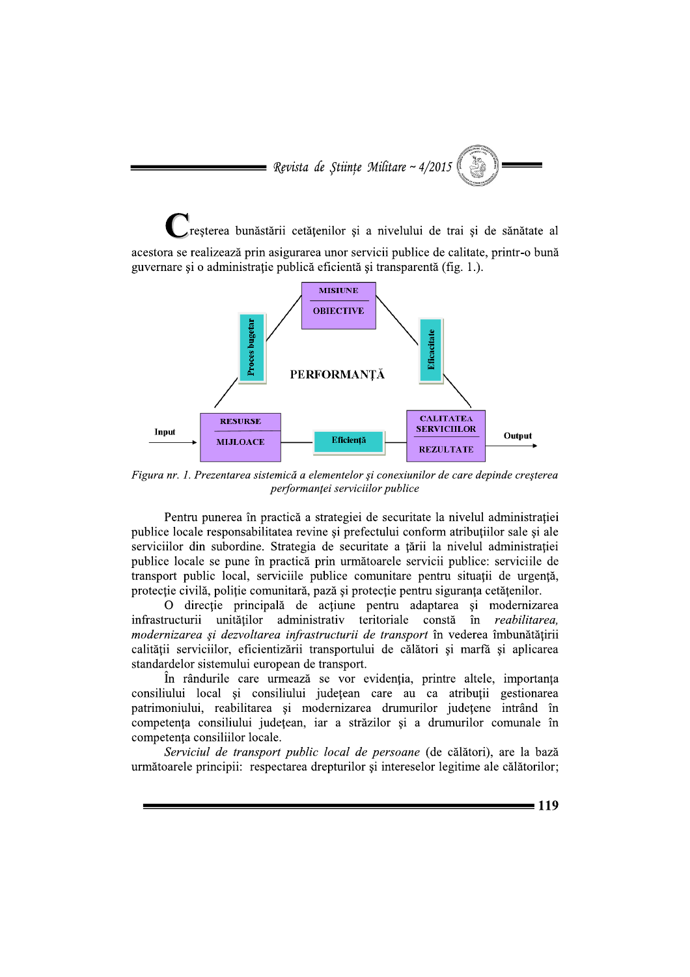reșterea bunăstării cetățenilor și a nivelului de trai și de sănătate al acestora se realizează prin asigurarea unor servicii publice de calitate, printr-o bună bunastarii cetățenilor și a nivelului de trai și de sânătate al guvernare și o administrație publică eficientă și transparentă (fig. 1.).



Figura nr. 1. Prezentarea sistemică a elementelor și conexiunilor de care depinde creșterea

Pentru punerea in practica a strategiei de securitate la nivelul administrației publice locale responsabilitatea revine și prefectului conform atribuțiilor sale și ale serviciilor din subordine. Strategia de securitate a țarii la nivelul administrației publice locale se pune in practica prin urmatoarele servicii publice: serviciile de transport public local, servicille publice comunitare pentru situații de urgența, protecție civilă, poliție comunitară, pază și protecție pentru siguranța cetățenilor. Pontru punerea în practică a strategiei de securitate la nivelul administrației publice locale responsabilitatea revie și prefectului conform arituluilor sale și ale securitate a țării la nivelul administrației publice loc

O direcție principala de acțiune pentru adaptarea și modernizarea  $\frac{1}{2}$  intrastructurii unitaților administrativ teritoriale consta in vederea imbunatațirii calității serviciilor, eficientizării transportului de calători și marfă și aplicarea standardelor sistemului european de transport.

In randurile care urmeaza se vor evidenția, printre altele, importanța consiliului local și consiliului județean care au ca atribuții gestionarea patrimoniului, reabilitarea și modernizarea drumurilor județene intrand în competența consiliului județean, iar a strazilor și a drumurilor comunale in competența consiliilor locale.

Serviciul de transport public local de persoane (de câlâtori), are la bază urmatoarele principii: respectarea drepturilor și intereselor legitime ale calatorilor;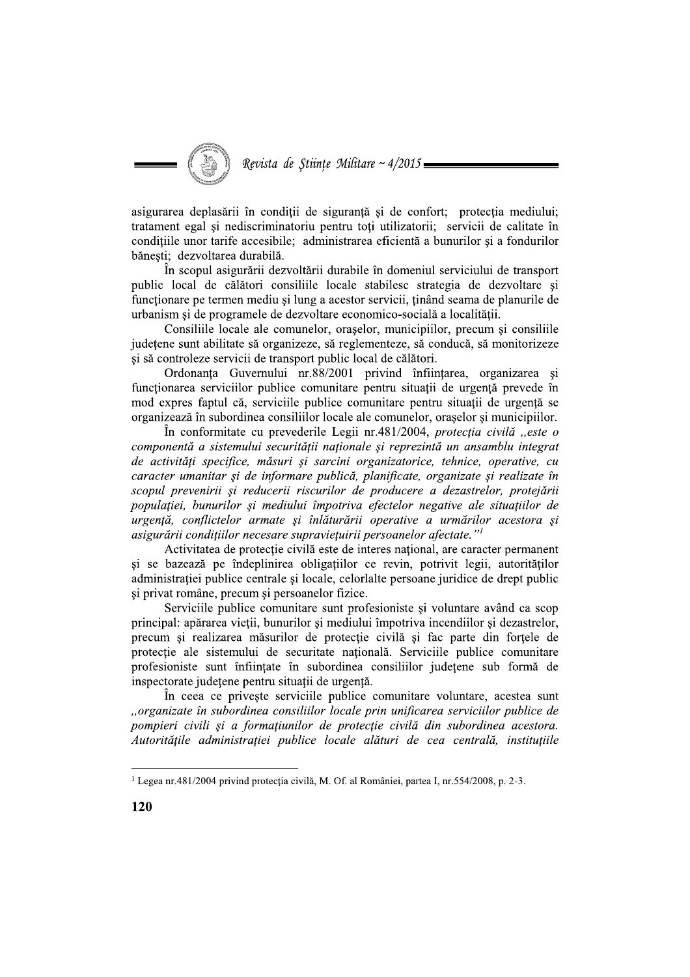asigurarea deplasării în conditii de sigurantă și de confort; protectia mediului; tratament egal și nediscriminatoriu pentru toți utilizatorii; servicii de calitate în condițiile unor tarife accesibile; administrarea eficientă a bunurilor și a fondurilor bănești; dezvoltarea durabilă.

În scopul asigurării dezvoltării durabile în domeniul serviciului de transport public local de călători consiliile locale stabilesc strategia de dezvoltare și functionare pe termen mediu si lung a acestor servicii, tinând seama de planurile de urbanism și de programele de dezvoltare economico-socială a localității.

Consiliile locale ale comunelor, oraselor, municipiilor, precum si consiliile județene sunt abilitate să organizeze, să reglementeze, să conducă, să monitorizeze și să controleze servicii de transport public local de călători.

Ordonanța Guvernului nr.88/2001 privind înființarea, organizarea și functionarea serviciilor publice comunitare pentru situații de urgență prevede în mod expres faptul că, serviciile publice comunitare pentru situatii de urgentă se organizează în subordinea consiliilor locale ale comunelor, orașelor și municipiilor.

În conformitate cu prevederile Legii nr.481/2004, protecția civilă "este o componentă a sistemului securității naționale și reprezintă un ansamblu integrat de activități specifice, măsuri și sarcini organizatorice, tehnice, operative, cu caracter umanitar și de informare publică, planificate, organizate și realizate în scopul prevenirii și reducerii riscurilor de producere a dezastrelor, protejării populatiei, bunurilor si mediului împotriva efectelor negative ale situatiilor de urgență, conflictelor armate și înlăturării operative a urmărilor acestora și asigurării condițiilor necesare supraviețuirii persoanelor afectate."<sup>1</sup>

Activitatea de protectie civilă este de interes national, are caracter permanent si se bazează pe îndeplinirea obligațiilor ce revin, potrivit legii, autorităților administratiei publice centrale și locale, celorlalte persoane juridice de drept public și privat române, precum și persoanelor fizice.

Serviciile publice comunitare sunt profesioniste și voluntare având ca scop principal: apărarea vieții, bunurilor și mediului împotriva incendiilor și dezastrelor, precum și realizarea măsurilor de protecție civilă și fac parte din forțele de protecție ale sistemului de securitate națională. Serviciile publice comunitare profesioniste sunt înființate în subordinea consiliilor județene sub formă de inspectorate județene pentru situații de urgență.

In ceea ce priveste serviciile publice comunitare voluntare, acestea sunt "organizate în subordinea consiliilor locale prin unificarea serviciilor publice de pompieri civili și a formațiunilor de protecție civilă din subordinea acestora. Autoritățile administrației publice locale alături de cea centrală, instituțiile

<sup>&</sup>lt;sup>1</sup> Legea nr.481/2004 privind protecția civilă, M. Of. al României, partea I, nr.554/2008, p. 2-3.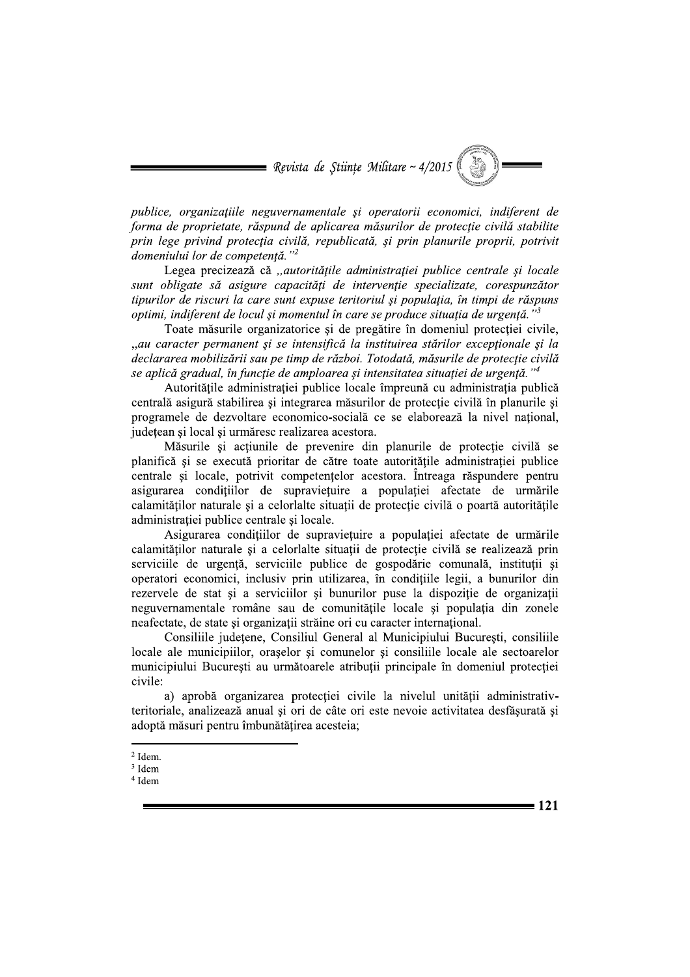publice, organizatiile neguvernamentale si operatorii economici, indiferent de forma de proprietate, răspund de aplicarea măsurilor de protecție civilă stabilite prin lege privind protecția civilă, republicată, și prin planurile proprii, potrivit domeniului lor de competență."<sup>2</sup>

Legea precizează că "autoritățile administrației publice centrale și locale sunt obligate să asigure capacități de intervenție specializate, corespunzător tipurilor de riscuri la care sunt expuse teritoriul si populatia, în timpi de răspuns optimi, indiferent de locul și momentul în care se produce situația de urgență."<sup>3</sup>

Toate măsurile organizatorice și de pregătire în domeniul protectiei civile, "au caracter permanent și se intensifică la instituirea stărilor excepționale și la declararea mobilizării sau pe timp de război. Totodată, măsurile de protecție civilă se aplică gradual, în funcție de amploarea și intensitatea situației de urgență."<sup>4</sup>

Autoritățile administrației publice locale împreună cu administrația publică centrală asigură stabilirea și integrarea măsurilor de protectie civilă în planurile și programele de dezvoltare economico-socială ce se elaborează la nivel national, judetean si local si urmăresc realizarea acestora.

Măsurile și acțiunile de prevenire din planurile de protecție civilă se planifică și se execută prioritar de către toate autoritățile administrației publice centrale și locale, potrivit competențelor acestora. Întreaga răspundere pentru asigurarea condițiilor de supraviețuire a populației afectate de urmările calamitătilor naturale și a celorialte situatii de protectie civilă o poartă autoritătile administrației publice centrale și locale.

Asigurarea condițiilor de supraviețuire a populației afectate de urmările calamităților naturale și a celorialte situații de protecție civilă se realizează prin serviciile de urgență, serviciile publice de gospodărie comunală, instituții și operatori economici, inclusiv prin utilizarea, în condițiile legii, a bunurilor din rezervele de stat și a serviciilor și bunurilor puse la dispoziție de organizații neguvernamentale române sau de comunitățile locale și populația din zonele neafectate, de state și organizații străine ori cu caracter internațional.

Consiliile județene, Consiliul General al Municipiului București, consiliile locale ale municipiilor, orașelor și comunelor și consiliile locale ale sectoarelor municipiului București au următoarele atribuții principale în domeniul protecției civile:

a) aprobă organizarea protecției civile la nivelul unității administrativteritoriale, analizează anual și ori de câte ori este nevoie activitatea desfăsurată și adoptă măsuri pentru îmbunătățirea acesteia;

 $= 121$ 

 $2$  Idem.

<sup>&</sup>lt;sup>3</sup> Idem

 $4$  Idem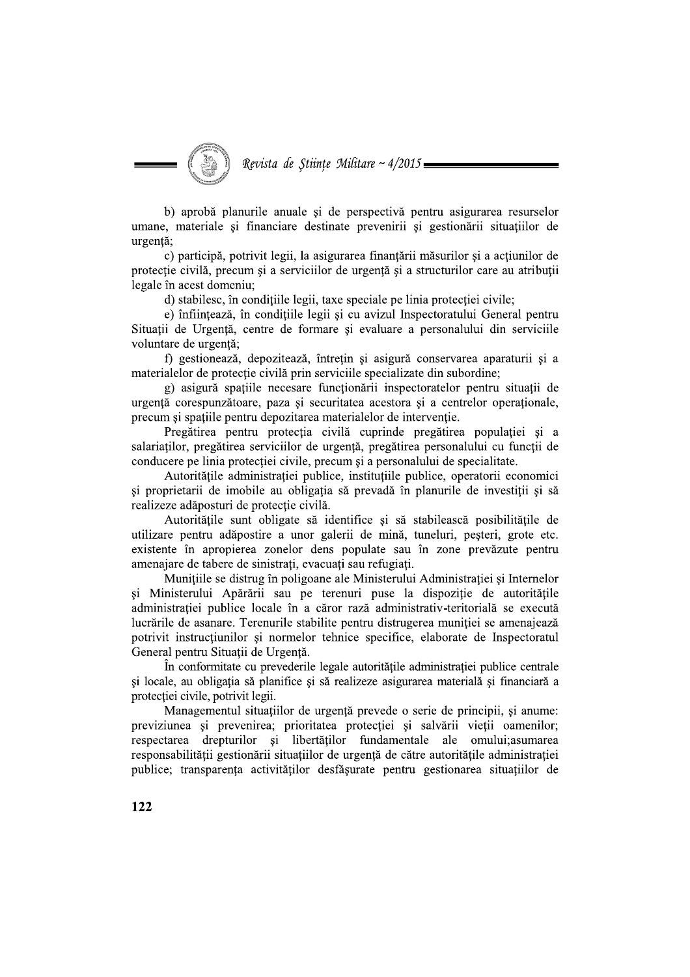Revista de Științe Militare ~ 4/2015 =

b) aprobă planurile anuale și de perspectivă pentru asigurarea resurselor umane, materiale și financiare destinate prevenirii și gestionării situațiilor de urgentă:

c) participă, potrivit legii, la asigurarea finanțării măsurilor și a acțiunilor de protecție civilă, precum și a serviciilor de urgență și a structurilor care au atribuții legale în acest domeniu;

d) stabilesc, în conditiile legii, taxe speciale pe linia protectiei civile;

e) înființează, în condițiile legii și cu avizul Inspectoratului General pentru Situații de Urgență, centre de formare și evaluare a personalului din serviciile voluntare de urgență;

f) gestionează, depozitează, întrețin și asigură conservarea aparaturii și a materialelor de protecție civilă prin serviciile specializate din subordine;

g) asigură spațiile necesare funcționării inspectoratelor pentru situații de urgentă corespunzătoare, paza și securitatea acestora și a centrelor operationale, precum si spatiile pentru depozitarea materialelor de interventie.

Pregătirea pentru protecția civilă cuprinde pregătirea populației și a salariatilor, pregătirea serviciilor de urgență, pregătirea personalului cu funcții de conducere pe linia protecției civile, precum și a personalului de specialitate.

Autoritățile administrației publice, instituțiile publice, operatorii economici si proprietarii de imobile au obligatia să prevadă în planurile de investitii si să realizeze adăposturi de protectie civilă.

Autoritățile sunt obligate să identifice și să stabilească posibilitățile de utilizare pentru adăpostire a unor galerii de mină, tuneluri, pesteri, grote etc. existente în apropierea zonelor dens populate sau în zone prevăzute pentru amenajare de tabere de sinistrați, evacuați sau refugiați.

Munitiile se distrug în poligoane ale Ministerului Administratiei și Internelor și Ministerului Apărării sau pe terenuri puse la dispoziție de autoritățile administrației publice locale în a căror rază administrativ-teritorială se execută lucrările de asanare. Terenurile stabilite pentru distrugerea muniției se amenajează potrivit instrucțiunilor și normelor tehnice specifice, elaborate de Inspectoratul General pentru Situații de Urgență.

În conformitate cu prevederile legale autoritățile administrației publice centrale si locale, au obligația să planifice și să realizeze asigurarea materială și financiară a protectiei civile, potrivit legii.

Managementul situațiilor de urgență prevede o serie de principii, și anume: previziunea și prevenirea; prioritatea protecției și salvării vieții oamenilor; respectarea drepturilor și libertăților fundamentale ale omului; asumarea responsabilității gestionării situațiilor de urgență de către autoritățile administrației publice; transparenta activităților desfăsurate pentru gestionarea situatiilor de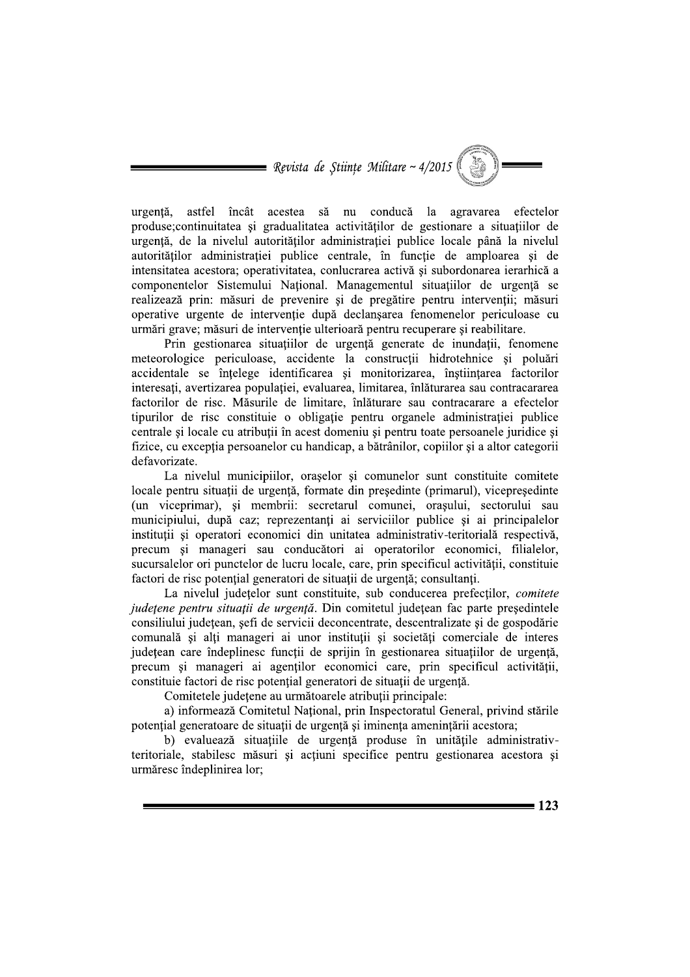urgentă. astfel încât acestea să nu conducă la agravarea efectelor produse; continuitatea și gradualitatea activităților de gestionare a situațiilor de urgență, de la nivelul autorităților administrației publice locale până la nivelul autorităților administrației publice centrale, în funcție de amploarea și de intensitatea acestora; operativitatea, conlucrarea activă si subordonarea ierarhică a componentelor Sistemului Național. Managementul situațiilor de urgență se realizează prin: măsuri de prevenire si de pregătire pentru intervenții; măsuri operative urgente de intervenție după declanșarea fenomenelor periculoase cu urmări grave; măsuri de intervenție ulterioară pentru recuperare si reabilitare.

Prin gestionarea situațiilor de urgență generate de inundații, fenomene meteorologice periculoase, accidente la construcții hidrotehnice și poluări accidentale se înțelege identificarea și monitorizarea, înștiințarea factorilor interesați, avertizarea populației, evaluarea, limitarea, înlăturarea sau contracararea factorilor de risc. Măsurile de limitare, înlăturare sau contracarare a efectelor tipurilor de risc constituie o obligatie pentru organele administratiei publice centrale și locale cu atribuții în acest domeniu și pentru toate persoanele juridice și fizice, cu exceptia persoanelor cu handicap, a bătrânilor, copiilor și a altor categorii defavorizate.

La nivelul municipiilor, orașelor și comunelor sunt constituite comitete locale pentru situații de urgență, formate din președinte (primarul), vicepreședinte (un viceprimar), si membrii: secretarul comunei, orașului, sectorului sau municipiului, după caz; reprezentanți ai serviciilor publice și ai principalelor instituții și operatori economici din unitatea administrativ-teritorială respectivă, precum și manageri sau conducători ai operatorilor economici, filialelor, sucursalelor ori punctelor de lucru locale, care, prin specificul activității, constituie factori de risc potențial generatori de situații de urgență; consultanți.

La nivelul judetelor sunt constituite, sub conducerea prefectilor, *comitete* județene pentru situații de urgență. Din comitetul județean fac parte președintele consiliului județean, sefi de servicii deconcentrate, descentralizate și de gospodărie comunală și alți manageri ai unor instituții și societăți comerciale de interes județean care îndeplinesc funcții de sprijin în gestionarea situațiilor de urgență, precum și manageri ai agenților economici care, prin specificul activității, constituie factori de risc potential generatori de situații de urgență.

Comitetele județene au următoarele atribuții principale:

a) informează Comitetul National, prin Inspectoratul General, privind stările potențial generatoare de situații de urgență și iminența amenințării acestora;

b) evaluează situațiile de urgență produse în unitățile administrativteritoriale, stabilesc măsuri și acțiuni specifice pentru gestionarea acestora și urmăresc îndeplinirea lor:

 $= 123$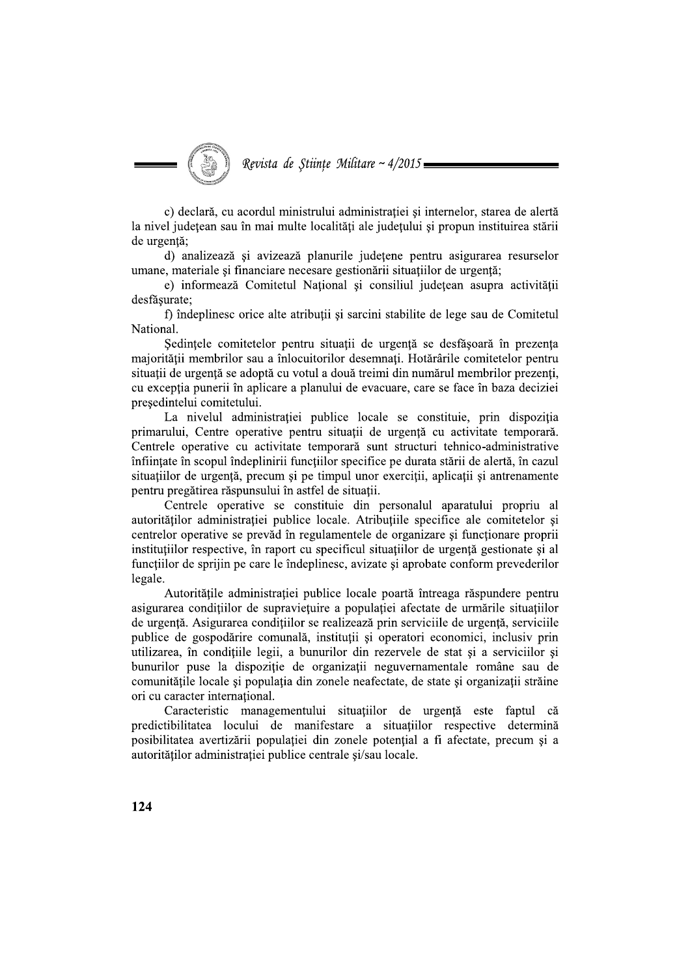c) declară, cu acordul ministrului administratiei și internelor, starea de alertă la nivel județean sau în mai multe localități ale județului și propun instituirea stării de urgență;

d) analizează și avizează planurile județene pentru asigurarea resurselor umane, materiale si financiare necesare gestionării situatiilor de urgentă;

e) informează Comitetul Național și consiliul județean asupra activității desfăsurate;

f) îndeplinesc orice alte atribuții și sarcini stabilite de lege sau de Comitetul National.

Sedințele comitetelor pentru situații de urgență se desfășoară în prezența majorității membrilor sau a înlocuitorilor desemnați. Hotărârile comitetelor pentru situații de urgență se adoptă cu votul a două treimi din numărul membrilor prezenți, cu excepția punerii în aplicare a planului de evacuare, care se face în baza deciziei presedintelui comitetului.

La nivelul administrației publice locale se constituie, prin dispoziția primarului, Centre operative pentru situații de urgență cu activitate temporară. Centrele operative cu activitate temporară sunt structuri tehnico-administrative înființate în scopul îndeplinirii funcțiilor specifice pe durata stării de alertă, în cazul situațiilor de urgență, precum și pe timpul unor exerciții, aplicații și antrenamente pentru pregătirea răspunsului în astfel de situatii.

Centrele operative se constituie din personalul aparatului propriu al autorităților administrației publice locale. Atribuțiile specifice ale comitetelor și centrelor operative se prevăd în regulamentele de organizare și funcționare proprii instituțiilor respective, în raport cu specificul situațiilor de urgență gestionate și al functiilor de sprijin pe care le îndeplinesc, avizate și aprobate conform prevederilor legale.

Autoritățile administrației publice locale poartă întreaga răspundere pentru asigurarea condițiilor de supraviețuire a populației afectate de urmările situațiilor de urgență. Asigurarea condițiilor se realizează prin serviciile de urgență, serviciile publice de gospodărire comunală, instituții și operatori economici, inclusiv prin utilizarea, în condițiile legii, a bunurilor din rezervele de stat și a serviciilor și bunurilor puse la dispoziție de organizații neguvernamentale române sau de comunitățile locale și populația din zonele neafectate, de state și organizații străine ori cu caracter international.

Caracteristic managementului situatiilor de urgentă este faptul că predictibilitatea locului de manifestare a situațiilor respective determină posibilitatea avertizării populației din zonele potențial a fi afectate, precum și a autorităților administrației publice centrale și/sau locale.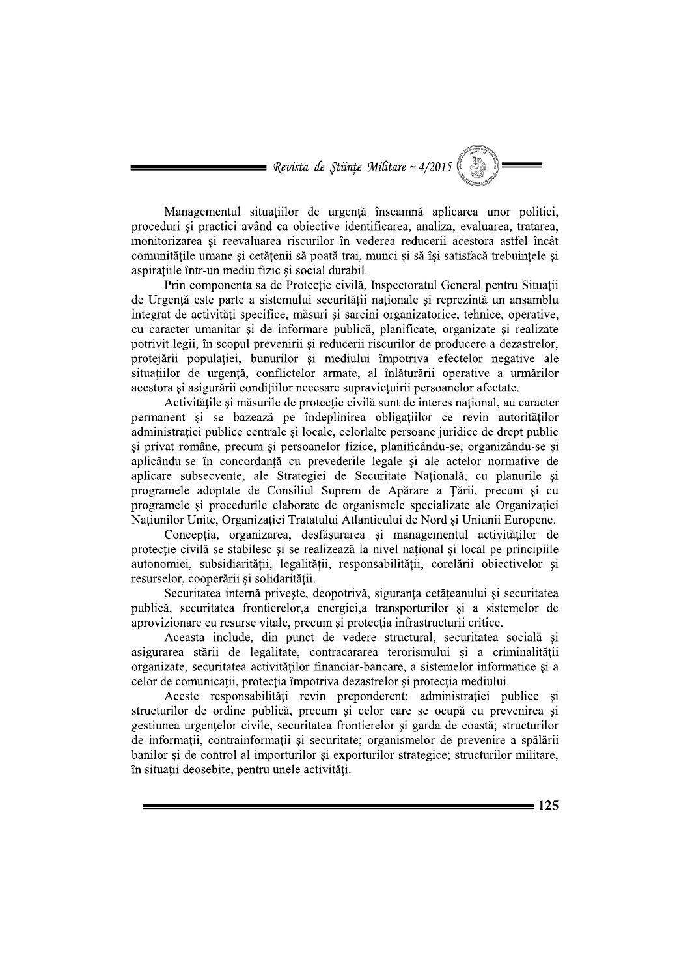Managementul situatiilor de urgentă înseamnă aplicarea unor politici. proceduri și practici având ca obiective identificarea, analiza, evaluarea, tratarea, monitorizarea si reevaluarea riscurilor în vederea reducerii acestora astfel încât comunitățile umane și cetățenii să poată trai, munci și să își satisfacă trebuințele și aspiratiile într-un mediu fizic și social durabil.

Prin componenta sa de Protecție civilă, Inspectoratul General pentru Situații de Urgentă este parte a sistemului securității nationale și reprezintă un ansamblu integrat de activități specifice, măsuri și sarcini organizatorice, tehnice, operative, cu caracter umanitar si de informare publică, planificate, organizate si realizate potrivit legii, în scopul prevenirii și reducerii riscurilor de producere a dezastrelor, protejării populației, bunurilor și mediului împotriva efectelor negative ale situațiilor de urgență, conflictelor armate, al înlăturării operative a urmărilor acestora și asigurării condițiilor necesare supraviețuirii persoanelor afectate.

Activitătile și măsurile de protectie civilă sunt de interes national, au caracter permanent si se bazează pe îndeplinirea obligatiilor ce revin autorităților administratiei publice centrale si locale, celorlalte persoane juridice de drept public si privat române, precum si persoanelor fizice, planificându-se, organizându-se si aplicându-se în concordanță cu prevederile legale și ale actelor normative de aplicare subsecvente, ale Strategiei de Securitate Națională, cu planurile și programele adoptate de Consiliul Suprem de Apărare a Tării, precum și cu programele si procedurile elaborate de organismele specializate ale Organizatiei Națiunilor Unite, Organizației Tratatului Atlanticului de Nord și Uniunii Europene.

Concepția, organizarea, desfășurarea și managementul activităților de protecție civilă se stabilesc și se realizează la nivel național și local pe principiile autonomiei, subsidiarității, legalității, responsabilității, corelării obiectivelor și resurselor, cooperării și solidarității.

Securitatea internă priveste, deopotrivă, siguranta cetăteanului și securitatea publică, securitatea frontierelor, a energiei, a transporturilor și a sistemelor de aprovizionare cu resurse vitale, precum și protecția infrastructurii critice.

Aceasta include, din punct de vedere structural, securitatea socială și asigurarea stării de legalitate, contracararea terorismului și a criminalității organizate, securitatea activităților financiar-bancare, a sistemelor informatice și a celor de comunicații, protecția împotriva dezastrelor și protecția mediului.

Aceste responsabilități revin preponderent: administrației publice și structurilor de ordine publică, precum și celor care se ocupă cu prevenirea și gestiunea urgențelor civile, securitatea frontierelor și garda de coastă; structurilor de informații, contrainformații și securitate; organismelor de prevenire a spălării banilor și de control al importurilor și exporturilor strategice; structurilor militare, în situații deosebite, pentru unele activități.

 $= 125$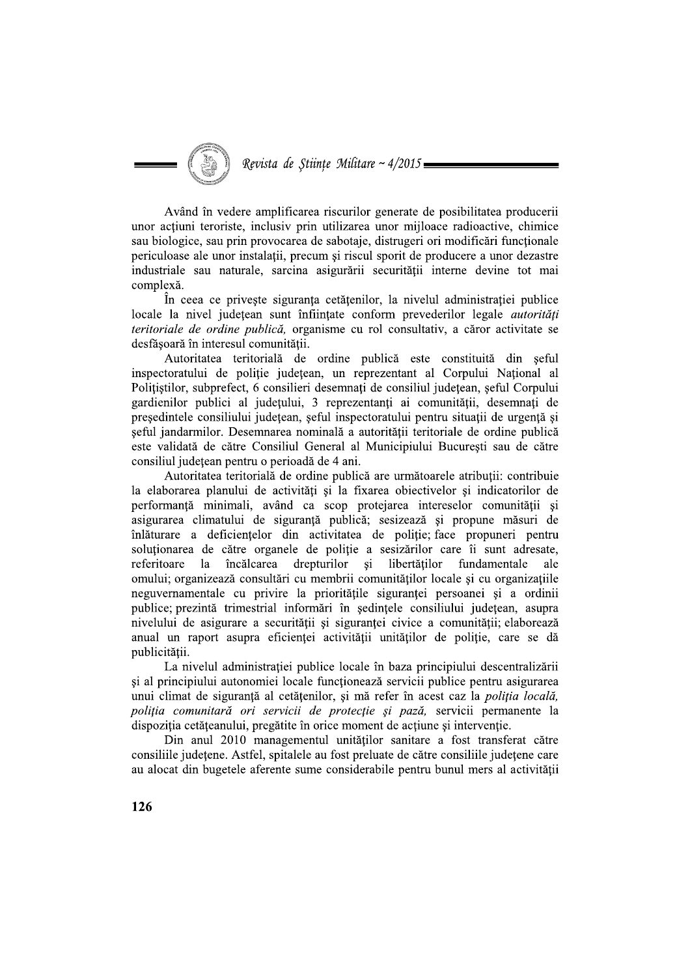Revista de Stiințe Militare ~  $4/2015 =$ 

Având în vedere amplificarea riscurilor generate de posibilitatea producerii unor acțiuni teroriste, inclusiv prin utilizarea unor mijloace radioactive, chimice sau biologice, sau prin provocarea de sabotaje, distrugeri ori modificări funcționale periculoase ale unor instalații, precum și riscul sporit de producere a unor dezastre industriale sau naturale, sarcina asigurării securității interne devine tot mai complexă.

În ceea ce priveste siguranta cetătenilor, la nivelul administratiei publice locale la nivel județean sunt înființate conform prevederilor legale *autorități teritoriale de ordine publică*, organisme cu rol consultativ, a căror activitate se desfășoară în interesul comunității.

Autoritatea teritorială de ordine publică este constituită din șeful inspectoratului de poliție județean, un reprezentant al Corpului Național al Politistilor, subprefect, 6 consilieri desemnați de consiliul județean, șeful Corpului gardienilor publici al judetului, 3 reprezentanti ai comunitătii, desemnati de presedintele consiliului judetean, seful inspectoratului pentru situatii de urgentă si seful jandarmilor. Desemnarea nominală a autorității teritoriale de ordine publică este validată de către Consiliul General al Municipiului Bucuresti sau de către consiliul județean pentru o perioadă de 4 ani.

Autoritatea teritorială de ordine publică are următoarele atribuții: contribuie la elaborarea planului de activități și la fixarea obiectivelor și indicatorilor de performantă minimali, având ca scop proteiarea intereselor comunitătii si asigurarea climatului de siguranță publică; sesizează și propune măsuri de înlăturare a deficiențelor din activitatea de poliție; face propuneri pentru solutionarea de către organele de politie a sesizărilor care îi sunt adresate, încălcarea drepturilor  $\overline{si}$ libertăților fundamentale referitoare  $1a$ ale omului; organizează consultări cu membrii comunităților locale și cu organizațiile neguvernamentale cu privire la prioritățile siguranței persoanei și a ordinii publice; prezintă trimestrial informări în ședințele consiliului județean, asupra nivelului de asigurare a securității și siguranței civice a comunității; elaborează anual un raport asupra eficienței activității unităților de poliție, care se dă publicității.

La nivelul administrației publice locale în baza principiului descentralizării si al principiului autonomiei locale functionează servicii publice pentru asigurarea unui climat de siguranță al cetățenilor, și mă refer în acest caz la poliția locală, poliția comunitară ori servicii de protecție și pază, servicii permanente la dispoziția cetățeanului, pregătite în orice moment de acțiune și intervenție.

Din anul 2010 managementul unităților sanitare a fost transferat către consiliile județene. Astfel, spitalele au fost preluate de către consiliile județene care au alocat din bugetele aferente sume considerabile pentru bunul mers al activității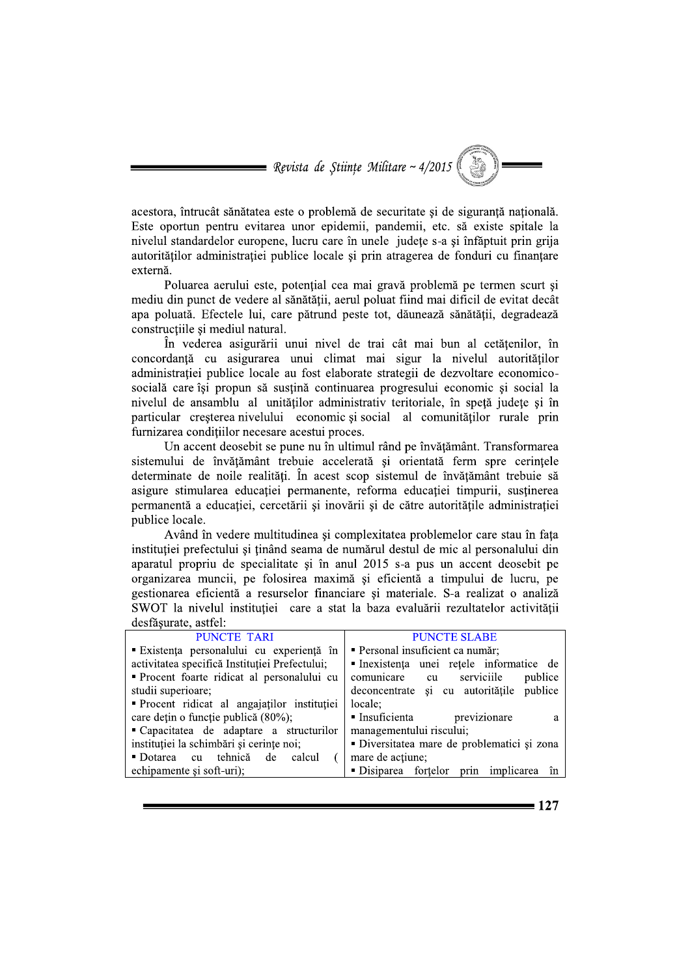acestora, întrucât sănătatea este o problemă de securitate și de sigurantă natională. Este oportun pentru evitarea unor epidemii, pandemii, etc. să existe spitale la nivelul standardelor europene, lucru care în unele judete s-a și înfăptuit prin grija autorităților administrației publice locale și prin atragerea de fonduri cu finanțare externă.

Poluarea aerului este, potențial cea mai gravă problemă pe termen scurt și mediu din punct de vedere al sănătătii, aerul poluat fiind mai dificil de evitat decât apa poluată. Efectele lui, care pătrund peste tot, dăunează sănătății, degradează constructiile si mediul natural.

În vederea asigurării unui nivel de trai cât mai bun al cetățenilor, în concordanță cu asigurarea unui climat mai sigur la nivelul autorităților administrației publice locale au fost elaborate strategii de dezvoltare economicosocială care își propun să susțină continuarea progresului economic și social la nivelul de ansamblu al unităților administrativ teritoriale, în spetă judete și în particular cresterea nivelului economic si social al comunitàtilor rurale prin furnizarea conditiilor necesare acestui proces.

Un accent deosebit se pune nu în ultimul rând pe învățământ. Transformarea sistemului de învățământ trebuie accelerată și orientată ferm spre cerintele determinate de noile realități. În acest scop sistemul de învățământ trebuie să asigure stimularea educației permanente, reforma educației timpurii, sustinerea permanentă a educatiei, cercetării și inovării și de către autoritătile administratiei publice locale.

Având în vedere multitudinea și complexitatea problemelor care stau în fața instituției prefectului și ținând seama de numărul destul de mic al personalului din aparatul propriu de specialitate și în anul 2015 s-a pus un accent deosebit pe organizarea muncii, pe folosirea maximă și eficientă a timpului de lucru, pe gestionarea eficientă a resurselor financiare și materiale. S-a realizat o analiză SWOT la nivelul instituției care a stat la baza evaluării rezultatelor activității dogfournte ogtfol

| desiasurate, astrei.                           |                                             |
|------------------------------------------------|---------------------------------------------|
| <b>PUNCTE TARI</b>                             | <b>PUNCTE SLABE</b>                         |
| Existența personalului cu experiență în        | · Personal insuficient ca număr;            |
| activitatea specifică Instituției Prefectului; | Inexistența unei rețele informatice de      |
| • Procent foarte ridicat al personalului cu    | comunicare<br>cu serviciile<br>publice      |
| studii superioare;                             | publice<br>deconcentrate și cu autoritățile |
| Procent ridicat al angajatilor institutiei     | locale:                                     |
| care dețin o funcție publică (80%);            | previzionare<br>Insuficienta<br>а           |
| • Capacitatea de adaptare a structurilor       | managementului riscului;                    |
| instituției la schimbări și cerințe noi;       | · Diversitatea mare de problematici și zona |
| tehnică<br>• Dotarea cu<br>de<br>calcul        | mare de actiune;                            |
| echipamente și soft-uri);                      | Disiparea fortelor prin implicarea<br>în.   |
|                                                |                                             |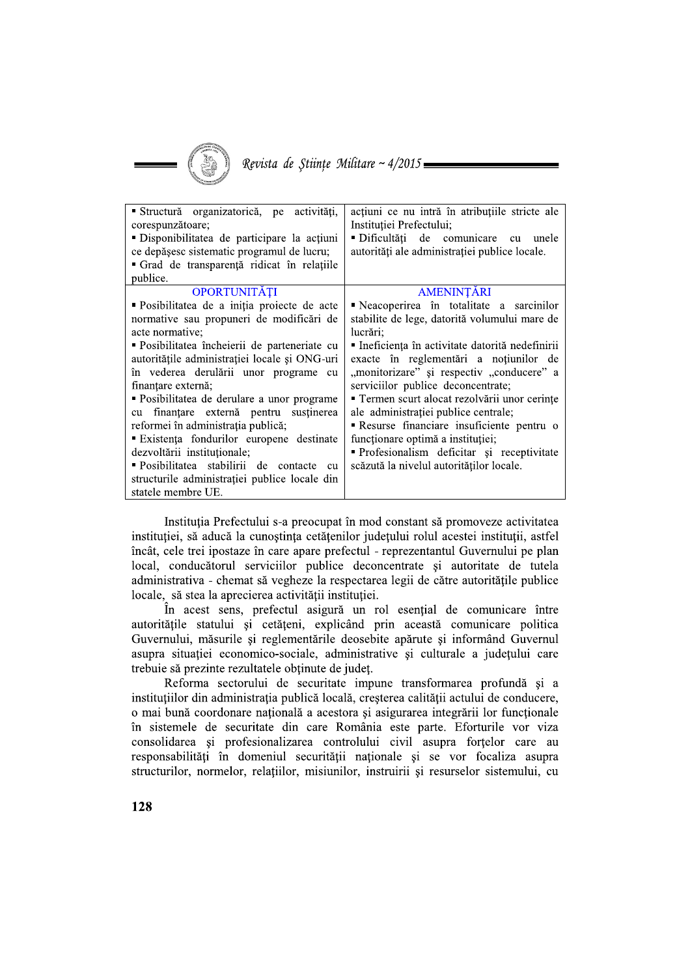

| Structură organizatorică, pe<br>activități,<br>corespunzătoare;<br>"Disponibilitatea de participare la actiuni<br>ce depășesc sistematic programul de lucru;<br>Grad de transparență ridicat în relațiile<br>publice. | acțiuni ce nu intră în atribuțiile stricte ale<br>Institutiei Prefectului:<br>Dificultăți de comunicare cu<br>unele<br>autorități ale administrației publice locale. |
|-----------------------------------------------------------------------------------------------------------------------------------------------------------------------------------------------------------------------|----------------------------------------------------------------------------------------------------------------------------------------------------------------------|
| OPORTUNITĂȚI<br>• Posibilitatea de a iniția proiecte de acte<br>normative sau propuneri de modificări de                                                                                                              | AMENINȚĂRI<br>Neacoperirea în totalitate a sarcinilor<br>stabilite de lege, datorită volumului mare de                                                               |
| acte normative;<br>• Posibilitatea încheierii de parteneriate cu<br>autoritățile administrației locale și ONG-uri                                                                                                     | lucrări;<br>· Ineficiența în activitate datorită nedefinirii<br>exacte în reglementări a noțiunilor de                                                               |
| în vederea derulării unor programe<br>cu<br>finantare externă;                                                                                                                                                        | "monitorizare" și respectiv "conducere" a<br>serviciilor publice deconcentrate;                                                                                      |
| · Posibilitatea de derulare a unor programe<br>finanțare externă pentru<br>sustinerea<br>cu<br>reformei în administrația publică;                                                                                     | " Termen scurt alocat rezolvării unor cerințe<br>ale administrației publice centrale;<br><b>Resurse financiare insuficiente pentru o</b>                             |
| Existența fondurilor europene destinate<br>dezvoltării instituționale;                                                                                                                                                | funcționare optimă a instituției;<br>Profesionalism deficitar și receptivitate                                                                                       |
| "Posibilitatea stabilirii de contacte<br>cu<br>structurile administrației publice locale din<br>statele membre UE.                                                                                                    | scăzută la nivelul autorităților locale.                                                                                                                             |

Instituția Prefectului s-a preocupat în mod constant să promoveze activitatea instituției, să aducă la cunoștința cetățenilor județului rolul acestei instituții, astfel încât, cele trei ipostaze în care apare prefectul - reprezentantul Guvernului pe plan local, conducătorul serviciilor publice deconcentrate și autoritate de tutela administrativa - chemat să vegheze la respectarea legii de către autoritățile publice locale, să stea la aprecierea activității instituției.

În acest sens, prefectul asigură un rol esențial de comunicare între autoritățile statului și cetățeni, explicând prin această comunicare politica Guvernului, măsurile și reglementările deosebite apărute și informând Guvernul asupra situației economico-sociale, administrative și culturale a județului care trebuie să prezinte rezultatele obtinute de judet.

Reforma sectorului de securitate impune transformarea profundă și a instituțiilor din administrația publică locală, creșterea calității actului de conducere, o mai bună coordonare națională a acestora și asigurarea integrării lor funcționale în sistemele de securitate din care România este parte. Eforturile vor viza consolidarea și profesionalizarea controlului civil asupra forțelor care au responsabilități în domeniul securității naționale și se vor focaliza asupra structurilor, normelor, relatiilor, misiunilor, instruirii si resurselor sistemului, cu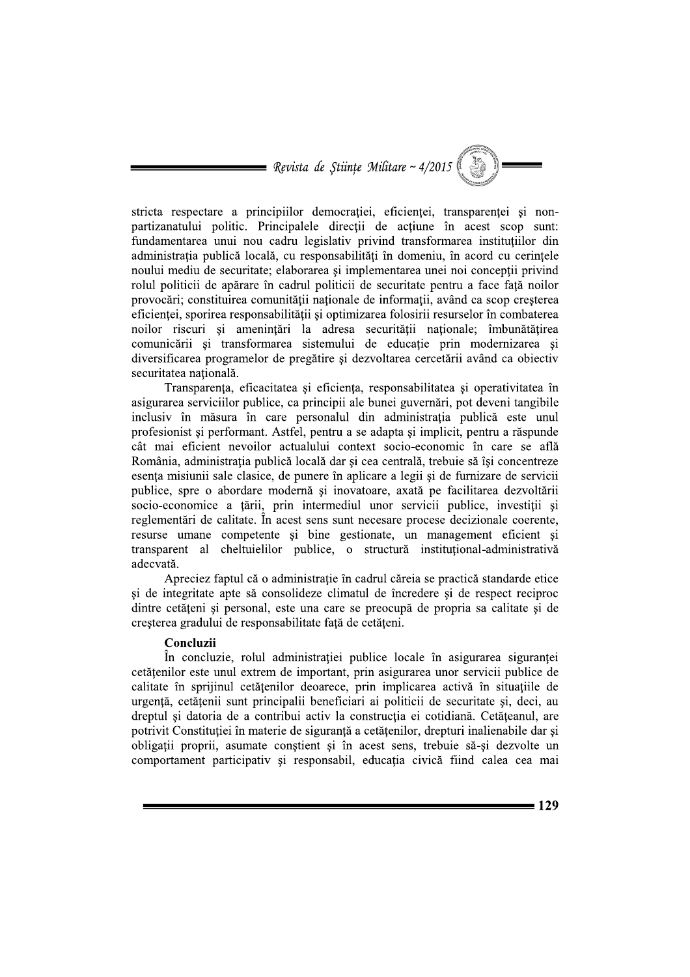stricta respectare a principiilor democratiei, eficientei, transparentei si nonpartizanatului politic. Principalele direcții de acțiune în acest scop sunt: fundamentarea unui nou cadru legislativ privind transformarea instituțiilor din administrația publică locală, cu responsabilități în domeniu, în acord cu cerințele noului mediu de securitate; elaborarea si implementarea unei noi conceptii privind rolul politicii de apărare în cadrul politicii de securitate pentru a face față noilor provocări; constituirea comunității nationale de informatii, având ca scop cresterea eficienței, sporirea responsabilității și optimizarea folosirii resurselor în combaterea noilor riscuri si amenintări la adresa securității nationale: îmbunătătirea comunicării și transformarea sistemului de educație prin modernizarea și diversificarea programelor de pregătire și dezvoltarea cercetării având ca obiectiv securitatea națională.

Transparența, eficacitatea și eficiența, responsabilitatea și operativitatea în asigurarea serviciilor publice, ca principii ale bunei guvernări, pot deveni tangibile inclusiv în măsura în care personalul din administratia publică este unul profesionist si performant. Astfel, pentru a se adapta si implicit, pentru a răspunde cât mai eficient nevoilor actualului context socio-economic în care se află România, administrația publică locală dar și cea centrală, trebuie să își concentreze esența misiunii sale clasice, de punere în aplicare a legii și de furnizare de servicii publice, spre o abordare modernă și inovatoare, axată pe facilitarea dezvoltării socio-economice a tării, prin intermediul unor servicii publice, investitii si reglementări de calitate. În acest sens sunt necesare procese decizionale coerente, resurse umane competente și bine gestionate, un management eficient și transparent al cheltuielilor publice, o structură institutional-administrativă adecvată.

Apreciez faptul că o administrație în cadrul căreia se practică standarde etice si de integritate apte să consolideze climatul de încredere si de respect reciproc dintre cetățeni și personal, este una care se preocupă de propria sa calitate și de creșterea gradului de responsabilitate față de cetățeni.

## Concluzii

În concluzie, rolul administratiei publice locale în asigurarea sigurantei cetățenilor este unul extrem de important, prin asigurarea unor servicii publice de calitate în sprijinul cetătenilor deoarece, prin implicarea activă în situatiile de urgență, cetățenii sunt principalii beneficiari ai politicii de securitate și, deci, au dreptul și datoria de a contribui activ la construcția ei cotidiană. Cetățeanul, are potrivit Constitutiei în materie de sigurantă a cetătenilor, drepturi inalienabile dar si obligatii proprii, asumate constient si în acest sens, trebuie să-si dezvolte un comportament participativ si responsabil, educatia civică fiind calea cea mai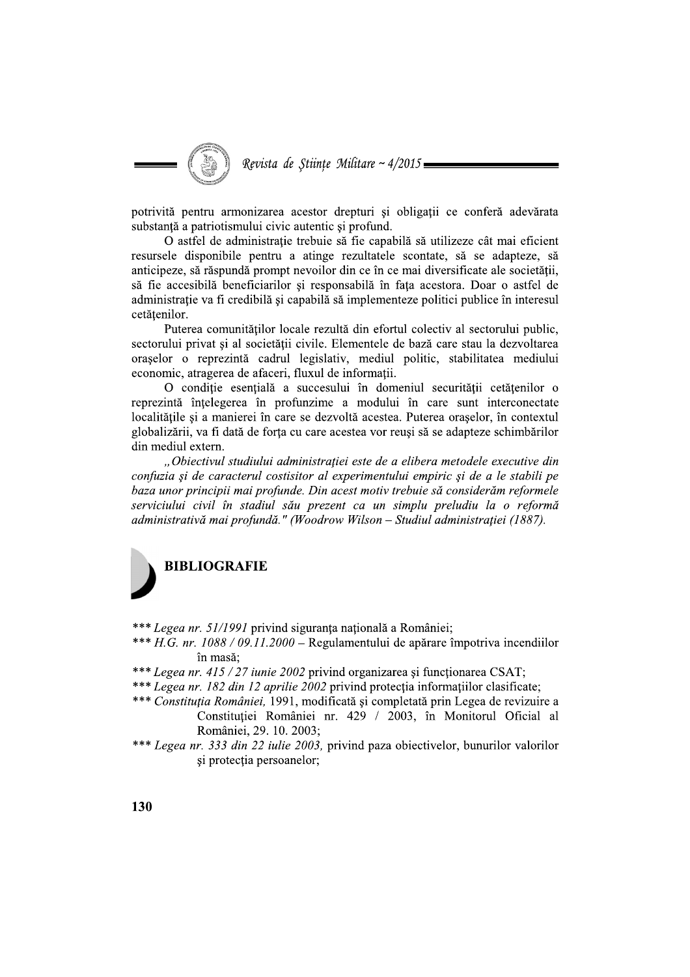Revista de Stiințe Militare ~  $4/2015 =$ 

potrivită pentru armonizarea acestor drepturi si obligatii ce conferă adevărata substanță a patriotismului civic autentic și profund.

O astfel de administrație trebuie să fie capabilă să utilizeze cât mai eficient resursele disponibile pentru a atinge rezultatele scontate, să se adapteze, să anticipeze, să răspundă prompt nevoilor din ce în ce mai diversificate ale societății. să fie accesibilă beneficiarilor și responsabilă în fața acestora. Doar o astfel de administratie va fi credibilă și capabilă să implementeze politici publice în interesul cetățenilor.

Puterea comunităților locale rezultă din efortul colectiv al sectorului public, sectorului privat și al societății civile. Elementele de bază care stau la dezvoltarea orașelor o reprezintă cadrul legislativ, mediul politic, stabilitatea mediului economic, atragerea de afaceri, fluxul de informații.

O condiție esențială a succesului în domeniul securității cetățenilor o reprezintă întelegerea în profunzime a modului în care sunt interconectate localitățile și a manierei în care se dezvoltă acestea. Puterea orașelor, în contextul globalizării, va fi dată de forta cu care acestea vor reusi să se adapteze schimbărilor din mediul extern.

"Obiectivul studiului administrației este de a elibera metodele executive din confuzia și de caracterul costisitor al experimentului empiric și de a le stabili pe baza unor principii mai profunde. Din acest motiv trebuie să considerăm reformele serviciului civil în stadiul său prezent ca un simplu preludiu la o reformă administrativă mai profundă." (Woodrow Wilson – Studiul administrației (1887).



\*\*\* Legea nr. 51/1991 privind siguranța națională a României;

- \*\*\*  $H.G. nr. 1088/09.11.2000$  Regulamentului de apărare împotriva incendiilor în masă:
- \*\*\* Legea nr. 415 / 27 iunie 2002 privind organizarea și funcționarea CSAT;
- \*\*\* Legea nr. 182 din 12 aprilie 2002 privind protectia informatiilor clasificate;
- \*\*\* Constituția României, 1991, modificată și completată prin Legea de revizuire a Constituției României nr. 429 / 2003, în Monitorul Oficial al României, 29. 10. 2003;
- \*\*\* Legea nr. 333 din 22 iulie 2003, privind paza obiectivelor, bunurilor valorilor și protecția persoanelor;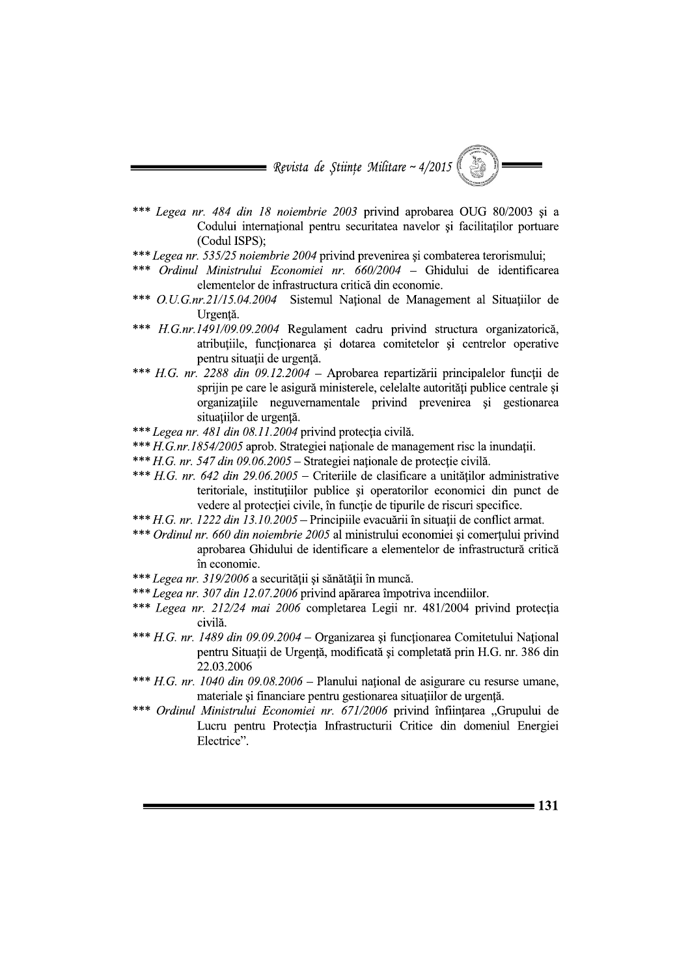- \*\*\* Legea nr. 484 din 18 noiembrie 2003 privind aprobarea OUG 80/2003 si a Codului internațional pentru securitatea navelor și facilitaților portuare (Codul ISPS):
- \*\*\* Legea nr. 535/25 noiembrie 2004 privind prevenirea și combaterea terorismului;
- Ordinul Ministrului Economiei nr. 660/2004 Ghidului de identificarea elementelor de infrastructura critică din economie.
- \*\*\* *O.U.G.nr.21/15.04.2004* Sistemul National de Management al Situatiilor de Urgență.
- \*\*\* H.G.nr.1491/09.09.2004 Regulament cadru privind structura organizatorică, atribuțiile, funcționarea și dotarea comitetelor și centrelor operative pentru situatii de urgentă.
- \*\*\* H.G. nr. 2288 din 09.12.2004 Aprobarea repartizării principalelor funcții de sprijin pe care le asigură ministerele, celelalte autorități publice centrale și organizatiile neguvernamentale privind prevenirea si gestionarea situatiilor de urgentă.
- \*\*\* Legea nr. 481 din 08.11.2004 privind protecția civilă.
- \*\*\* H.G.nr.1854/2005 aprob. Strategiei nationale de management risc la inundatii.
- \*\*\* H.G. nr. 547 din 09.06.2005 Strategiei naționale de protecție civilă.
- \*\*\* H.G. nr. 642 din 29.06.2005 Criteriile de clasificare a unităților administrative teritoriale, instituțiilor publice și operatorilor economici din punct de vedere al protectiei civile, în functie de tipurile de riscuri specifice.
- \*\*\* H.G. nr. 1222 din 13.10.2005 Principiile evacuării în situații de conflict armat.
- \*\*\* Ordinul nr. 660 din noiembrie 2005 al ministrului economiei și comerțului privind aprobarea Ghidului de identificare a elementelor de infrastructură critică în economie.
- \*\*\* Legea nr. 319/2006 a securității și sănătății în muncă.
- \*\*\* Legea nr. 307 din 12.07.2006 privind apărarea împotriva incendiilor.
- \*\*\* Legea nr. 212/24 mai 2006 completarea Legii nr. 481/2004 privind protecția civilă.
- \*\*\* H.G. nr. 1489 din 09.09.2004 Organizarea și funcționarea Comitetului Național pentru Situații de Urgență, modificată și completată prin H.G. nr. 386 din 22.03.2006
- \*\*\*  $H.G. nr. 1040$  din 09.08.2006 Planului national de asigurare cu resurse umane, materiale și financiare pentru gestionarea situațiilor de urgență.
- \*\*\* Ordinul Ministrului Economiei nr. 671/2006 privind înființarea "Grupului de Lucru pentru Protectia Infrastructurii Critice din domeniul Energiei Electrice".